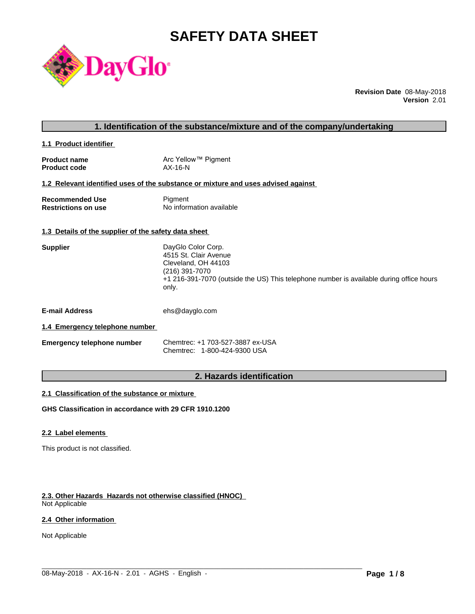# **SAFETY DATA SHEET**



**Revision Date** 08-May-2018 **Version** 2.01

#### **1. Identification of the substance/mixture and of the company/undertaking**

**1.1 Product identifier** 

| <b>Product name</b> | Arc Yellow™ Pigment |
|---------------------|---------------------|
| <b>Product code</b> | $AX-16-N$           |

#### **1.2 Relevant identified uses of the substance or mixture and uses advised against**

| <b>Recommended Use</b>     | Pigment                  |
|----------------------------|--------------------------|
| <b>Restrictions on use</b> | No information available |

#### **1.3 Details of the supplier of the safety data sheet**

| <b>Supplier</b> | DayGlo Color Corp.                                                                               |
|-----------------|--------------------------------------------------------------------------------------------------|
|                 | 4515 St. Clair Avenue                                                                            |
|                 | Cleveland, OH 44103                                                                              |
|                 | (216) 391-7070                                                                                   |
|                 | +1 216-391-7070 (outside the US) This telephone number is available during office hours<br>only. |
|                 |                                                                                                  |

**E-mail Address** ehs@dayglo.com

#### **1.4 Emergency telephone number**

| <b>Emergency telephone number</b> | Chemtrec: +1 703-527-3887 ex-USA |
|-----------------------------------|----------------------------------|
|                                   | Chemtrec: 1-800-424-9300 USA     |

### **2. Hazards identification**

 $\_$  ,  $\_$  ,  $\_$  ,  $\_$  ,  $\_$  ,  $\_$  ,  $\_$  ,  $\_$  ,  $\_$  ,  $\_$  ,  $\_$  ,  $\_$  ,  $\_$  ,  $\_$  ,  $\_$  ,  $\_$  ,  $\_$  ,  $\_$  ,  $\_$  ,  $\_$  ,  $\_$  ,  $\_$  ,  $\_$  ,  $\_$  ,  $\_$  ,  $\_$  ,  $\_$  ,  $\_$  ,  $\_$  ,  $\_$  ,  $\_$  ,  $\_$  ,  $\_$  ,  $\_$  ,  $\_$  ,  $\_$  ,  $\_$  ,

#### **2.1 Classification of the substance or mixture**

**GHS Classification in accordance with 29 CFR 1910.1200**

#### **2.2 Label elements**

This product is not classified.

#### **2.3. Other Hazards Hazards not otherwise classified (HNOC)**

Not Applicable

#### **2.4 Other information**

Not Applicable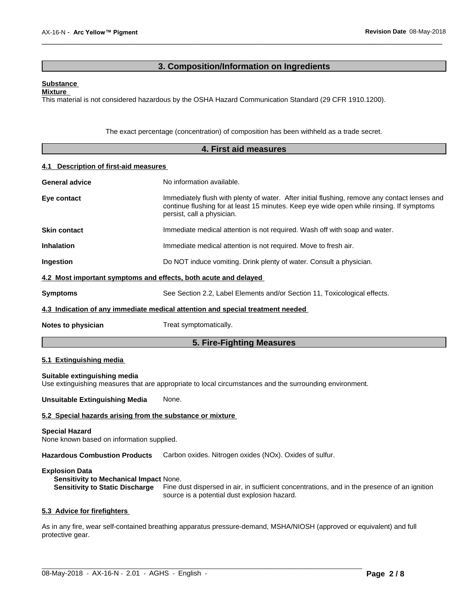### **3. Composition/Information on Ingredients**

 $\overline{\phantom{a}}$  ,  $\overline{\phantom{a}}$  ,  $\overline{\phantom{a}}$  ,  $\overline{\phantom{a}}$  ,  $\overline{\phantom{a}}$  ,  $\overline{\phantom{a}}$  ,  $\overline{\phantom{a}}$  ,  $\overline{\phantom{a}}$  ,  $\overline{\phantom{a}}$  ,  $\overline{\phantom{a}}$  ,  $\overline{\phantom{a}}$  ,  $\overline{\phantom{a}}$  ,  $\overline{\phantom{a}}$  ,  $\overline{\phantom{a}}$  ,  $\overline{\phantom{a}}$  ,  $\overline{\phantom{a}}$ 

#### **Substance**

**Mixture**

This material is not considered hazardous by the OSHA Hazard Communication Standard (29 CFR 1910.1200).

The exact percentage (concentration) of composition has been withheld as a trade secret.

| 4. First aid measures                 |                                                                                                                                                                                                                         |  |
|---------------------------------------|-------------------------------------------------------------------------------------------------------------------------------------------------------------------------------------------------------------------------|--|
| 4.1 Description of first-aid measures |                                                                                                                                                                                                                         |  |
| <b>General advice</b>                 | No information available.                                                                                                                                                                                               |  |
| Eye contact                           | Immediately flush with plenty of water. After initial flushing, remove any contact lenses and<br>continue flushing for at least 15 minutes. Keep eye wide open while rinsing. If symptoms<br>persist, call a physician. |  |
| <b>Skin contact</b>                   | Immediate medical attention is not required. Wash off with soap and water.                                                                                                                                              |  |
| <b>Inhalation</b>                     | Immediate medical attention is not required. Move to fresh air.                                                                                                                                                         |  |
| Ingestion                             | Do NOT induce vomiting. Drink plenty of water. Consult a physician.                                                                                                                                                     |  |
|                                       | 4.2 Most important symptoms and effects, both acute and delayed                                                                                                                                                         |  |
| <b>Symptoms</b>                       | See Section 2.2, Label Elements and/or Section 11, Toxicological effects.                                                                                                                                               |  |
|                                       | 4.3 Indication of any immediate medical attention and special treatment needed                                                                                                                                          |  |
| Notes to physician                    | Treat symptomatically.                                                                                                                                                                                                  |  |
|                                       | 5. Fire-Fighting Measures                                                                                                                                                                                               |  |

#### **5.1 Extinguishing media**

**Suitable extinguishing media** Use extinguishing measures that are appropriate to local circumstances and the surrounding environment.

**Unsuitable Extinguishing Media** None.

#### **5.2 Special hazards arising from the substance or mixture**

#### **Special Hazard**

None known based on information supplied.

**Hazardous Combustion Products** Carbon oxides. Nitrogen oxides (NOx). Oxides of sulfur.

#### **Explosion Data**

**Sensitivity to Mechanical Impact** None.

**Sensitivity to Static Discharge** Fine dust dispersed in air, in sufficient concentrations, and in the presence of an ignition source is a potential dust explosion hazard.

#### **5.3 Advice for firefighters**

As in any fire, wear self-contained breathing apparatus pressure-demand, MSHA/NIOSH (approved or equivalent) and full protective gear.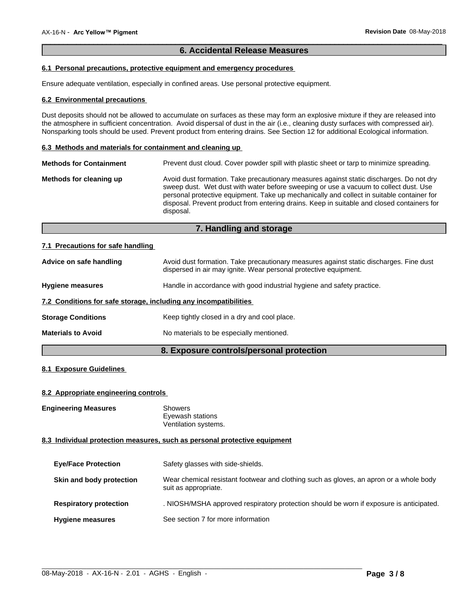### **6. Accidental Release Measures**

 $\overline{\phantom{a}}$  ,  $\overline{\phantom{a}}$  ,  $\overline{\phantom{a}}$  ,  $\overline{\phantom{a}}$  ,  $\overline{\phantom{a}}$  ,  $\overline{\phantom{a}}$  ,  $\overline{\phantom{a}}$  ,  $\overline{\phantom{a}}$  ,  $\overline{\phantom{a}}$  ,  $\overline{\phantom{a}}$  ,  $\overline{\phantom{a}}$  ,  $\overline{\phantom{a}}$  ,  $\overline{\phantom{a}}$  ,  $\overline{\phantom{a}}$  ,  $\overline{\phantom{a}}$  ,  $\overline{\phantom{a}}$ 

#### **6.1 Personal precautions, protective equipment and emergency procedures**

Ensure adequate ventilation, especially in confined areas. Use personal protective equipment.

#### **6.2 Environmental precautions**

Dust deposits should not be allowed to accumulate on surfaces as these may form an explosive mixture if they are released into the atmosphere in sufficient concentration. Avoid dispersal of dust in the air (i.e., cleaning dusty surfaces with compressed air). Nonsparking tools should be used. Prevent product from entering drains. See Section 12 for additional Ecological information.

#### **6.3 Methods and materials for containment and cleaning up**

| <b>Methods for Containment</b> | Prevent dust cloud. Cover powder spill with plastic sheet or tarp to minimize spreading.                                                                                                                                                                                                                                                                                                |
|--------------------------------|-----------------------------------------------------------------------------------------------------------------------------------------------------------------------------------------------------------------------------------------------------------------------------------------------------------------------------------------------------------------------------------------|
| Methods for cleaning up        | Avoid dust formation. Take precautionary measures against static discharges. Do not dry<br>sweep dust. Wet dust with water before sweeping or use a vacuum to collect dust. Use<br>personal protective equipment. Take up mechanically and collect in suitable container for<br>disposal. Prevent product from entering drains. Keep in suitable and closed containers for<br>disposal. |

#### **7. Handling and storage**

#### **7.1 Precautions for safe handling**

| Advice on safe handling                                          | Avoid dust formation. Take precautionary measures against static discharges. Fine dust<br>dispersed in air may ignite. Wear personal protective equipment. |  |  |
|------------------------------------------------------------------|------------------------------------------------------------------------------------------------------------------------------------------------------------|--|--|
| <b>Hygiene measures</b>                                          | Handle in accordance with good industrial hygiene and safety practice.                                                                                     |  |  |
| 7.2 Conditions for safe storage, including any incompatibilities |                                                                                                                                                            |  |  |
| <b>Storage Conditions</b>                                        | Keep tightly closed in a dry and cool place.                                                                                                               |  |  |
| <b>Materials to Avoid</b>                                        | No materials to be especially mentioned.                                                                                                                   |  |  |

### **8. Exposure controls/personal protection**

#### **8.1 Exposure Guidelines**

#### **8.2 Appropriate engineering controls**

**Engineering Measures** Showers

Eyewash stations Ventilation systems.

#### **8.3 Individual protection measures, such as personal protective equipment**

| <b>Eye/Face Protection</b>    | Safety glasses with side-shields.                                                                              |
|-------------------------------|----------------------------------------------------------------------------------------------------------------|
| Skin and body protection      | Wear chemical resistant footwear and clothing such as gloves, an apron or a whole body<br>suit as appropriate. |
| <b>Respiratory protection</b> | . NIOSH/MSHA approved respiratory protection should be worn if exposure is anticipated.                        |
| <b>Hygiene measures</b>       | See section 7 for more information                                                                             |

 $\_$  ,  $\_$  ,  $\_$  ,  $\_$  ,  $\_$  ,  $\_$  ,  $\_$  ,  $\_$  ,  $\_$  ,  $\_$  ,  $\_$  ,  $\_$  ,  $\_$  ,  $\_$  ,  $\_$  ,  $\_$  ,  $\_$  ,  $\_$  ,  $\_$  ,  $\_$  ,  $\_$  ,  $\_$  ,  $\_$  ,  $\_$  ,  $\_$  ,  $\_$  ,  $\_$  ,  $\_$  ,  $\_$  ,  $\_$  ,  $\_$  ,  $\_$  ,  $\_$  ,  $\_$  ,  $\_$  ,  $\_$  ,  $\_$  ,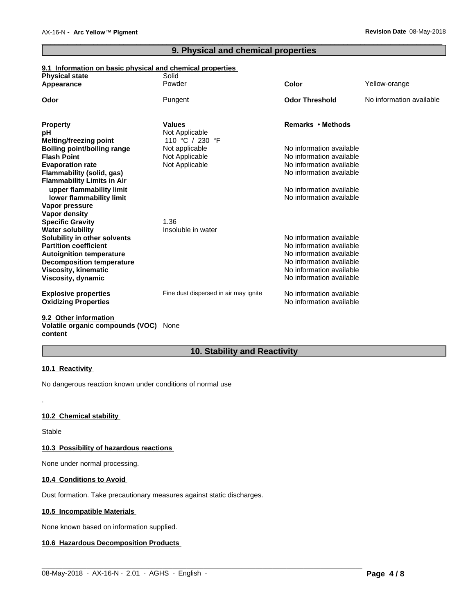## **9. Physical and chemical properties**

 $\overline{\phantom{a}}$  ,  $\overline{\phantom{a}}$  ,  $\overline{\phantom{a}}$  ,  $\overline{\phantom{a}}$  ,  $\overline{\phantom{a}}$  ,  $\overline{\phantom{a}}$  ,  $\overline{\phantom{a}}$  ,  $\overline{\phantom{a}}$  ,  $\overline{\phantom{a}}$  ,  $\overline{\phantom{a}}$  ,  $\overline{\phantom{a}}$  ,  $\overline{\phantom{a}}$  ,  $\overline{\phantom{a}}$  ,  $\overline{\phantom{a}}$  ,  $\overline{\phantom{a}}$  ,  $\overline{\phantom{a}}$ 

### **9.1 Information on basic physical and chemical properties**

| <b>Physical state</b>              | Solid                                 |                          |                          |
|------------------------------------|---------------------------------------|--------------------------|--------------------------|
| Appearance                         | Powder                                | <b>Color</b>             | Yellow-orange            |
| Odor                               | Pungent                               | <b>Odor Threshold</b>    | No information available |
| <b>Property</b>                    | <b>Values</b>                         | Remarks • Methods        |                          |
| рH                                 | Not Applicable                        |                          |                          |
| Melting/freezing point             | 110 °C / 230 °F                       |                          |                          |
| <b>Boiling point/boiling range</b> | Not applicable                        | No information available |                          |
| <b>Flash Point</b>                 | Not Applicable                        | No information available |                          |
| <b>Evaporation rate</b>            | Not Applicable                        | No information available |                          |
| Flammability (solid, gas)          |                                       | No information available |                          |
| <b>Flammability Limits in Air</b>  |                                       |                          |                          |
| upper flammability limit           |                                       | No information available |                          |
| lower flammability limit           |                                       | No information available |                          |
| Vapor pressure                     |                                       |                          |                          |
| Vapor density                      |                                       |                          |                          |
| <b>Specific Gravity</b>            | 1.36                                  |                          |                          |
| <b>Water solubility</b>            | Insoluble in water                    |                          |                          |
| Solubility in other solvents       |                                       | No information available |                          |
| <b>Partition coefficient</b>       |                                       | No information available |                          |
| <b>Autoignition temperature</b>    |                                       | No information available |                          |
| <b>Decomposition temperature</b>   |                                       | No information available |                          |
| <b>Viscosity, kinematic</b>        |                                       | No information available |                          |
| Viscosity, dynamic                 |                                       | No information available |                          |
| <b>Explosive properties</b>        | Fine dust dispersed in air may ignite | No information available |                          |
| <b>Oxidizing Properties</b>        |                                       | No information available |                          |
| 0.2. Other information             |                                       |                          |                          |

#### **9.2 Other information Volatile organic compounds (VOC)** None **content**

## **10. Stability and Reactivity**

 $\_$  ,  $\_$  ,  $\_$  ,  $\_$  ,  $\_$  ,  $\_$  ,  $\_$  ,  $\_$  ,  $\_$  ,  $\_$  ,  $\_$  ,  $\_$  ,  $\_$  ,  $\_$  ,  $\_$  ,  $\_$  ,  $\_$  ,  $\_$  ,  $\_$  ,  $\_$  ,  $\_$  ,  $\_$  ,  $\_$  ,  $\_$  ,  $\_$  ,  $\_$  ,  $\_$  ,  $\_$  ,  $\_$  ,  $\_$  ,  $\_$  ,  $\_$  ,  $\_$  ,  $\_$  ,  $\_$  ,  $\_$  ,  $\_$  ,

#### **10.1 Reactivity**

No dangerous reaction known under conditions of normal use

### **10.2 Chemical stability**

Stable

.

#### **10.3 Possibility of hazardous reactions**

None under normal processing.

#### **10.4 Conditions to Avoid**

Dust formation. Take precautionary measures against static discharges.

### **10.5 Incompatible Materials**

None known based on information supplied.

#### **10.6 Hazardous Decomposition Products**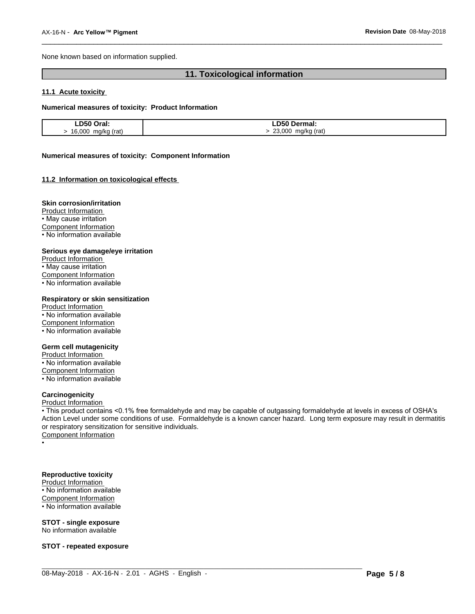None known based on information supplied.

## **11. Toxicological information**

 $\overline{\phantom{a}}$  ,  $\overline{\phantom{a}}$  ,  $\overline{\phantom{a}}$  ,  $\overline{\phantom{a}}$  ,  $\overline{\phantom{a}}$  ,  $\overline{\phantom{a}}$  ,  $\overline{\phantom{a}}$  ,  $\overline{\phantom{a}}$  ,  $\overline{\phantom{a}}$  ,  $\overline{\phantom{a}}$  ,  $\overline{\phantom{a}}$  ,  $\overline{\phantom{a}}$  ,  $\overline{\phantom{a}}$  ,  $\overline{\phantom{a}}$  ,  $\overline{\phantom{a}}$  ,  $\overline{\phantom{a}}$ 

#### **11.1 Acute toxicity**

#### **Numerical measures of toxicity: Product Information**

| D50 Oral.                    | <b>D50</b><br>Dermal:           |
|------------------------------|---------------------------------|
| 16,000<br>ma/ka (rat)<br>. . | 23,000<br>(rat)<br>ma/ka<br>. . |

#### **Numerical measures of toxicity: Component Information**

#### **11.2 Information on toxicologicaleffects**

#### **Skin corrosion/irritation**

Product Information • May cause irritation Component Information • No information available

#### **Serious eye damage/eye irritation**

Product Information • May cause irritation Component Information • No information available

#### **Respiratory or skin sensitization**

Product Information • No information available Component Information • No information available

#### **Germ cell mutagenicity**

Product Information

• No information available Component Information

• No information available

#### **Carcinogenicity**

Product Information

• This product contains <0.1% free formaldehyde and may be capable of outgassing formaldehyde at levels in excess of OSHA's Action Level under some conditions of use. Formaldehyde is a known cancer hazard. Long term exposure may result in dermatitis or respiratory sensitization for sensitive individuals.<br>Component Information

 $\_$  ,  $\_$  ,  $\_$  ,  $\_$  ,  $\_$  ,  $\_$  ,  $\_$  ,  $\_$  ,  $\_$  ,  $\_$  ,  $\_$  ,  $\_$  ,  $\_$  ,  $\_$  ,  $\_$  ,  $\_$  ,  $\_$  ,  $\_$  ,  $\_$  ,  $\_$  ,  $\_$  ,  $\_$  ,  $\_$  ,  $\_$  ,  $\_$  ,  $\_$  ,  $\_$  ,  $\_$  ,  $\_$  ,  $\_$  ,  $\_$  ,  $\_$  ,  $\_$  ,  $\_$  ,  $\_$  ,  $\_$  ,  $\_$  ,

• Production of the contract of the contract of the contract of the contract of the contract of the contract of

### **Reproductive toxicity**

Product Information

 $\cdot$  No information available Component Information

• No information available

#### **STOT - single exposure** No information available

**STOT - repeated exposure**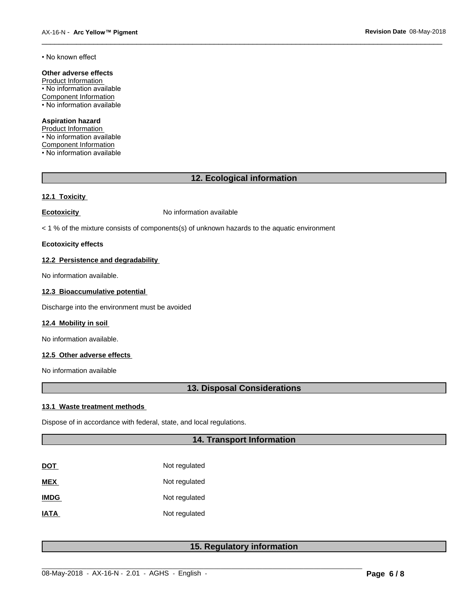#### • No known effect

#### **Other adverse effects**

Product Information • No information available Component Information • No information available

#### **Aspiration hazard**

Product Information • No information available Component Information • No information available

#### **12. Ecological information**

 $\overline{\phantom{a}}$  ,  $\overline{\phantom{a}}$  ,  $\overline{\phantom{a}}$  ,  $\overline{\phantom{a}}$  ,  $\overline{\phantom{a}}$  ,  $\overline{\phantom{a}}$  ,  $\overline{\phantom{a}}$  ,  $\overline{\phantom{a}}$  ,  $\overline{\phantom{a}}$  ,  $\overline{\phantom{a}}$  ,  $\overline{\phantom{a}}$  ,  $\overline{\phantom{a}}$  ,  $\overline{\phantom{a}}$  ,  $\overline{\phantom{a}}$  ,  $\overline{\phantom{a}}$  ,  $\overline{\phantom{a}}$ 

#### **12.1 Toxicity**

**Ecotoxicity No information available** 

< 1 % of the mixture consists of components(s) of unknown hazards to the aquatic environment

#### **Ecotoxicity effects**

#### **12.2 Persistence and degradability**

No information available.

#### **12.3 Bioaccumulative potential**

Discharge into the environment must be avoided

#### **12.4 Mobility in soil**

No information available.

#### **12.5 Other adverse effects**

No information available

### **13. Disposal Considerations**

#### **13.1 Waste treatment methods**

Dispose of in accordance with federal, state, and local regulations.

### **14. Transport Information**

| DOT         | Not regulated |
|-------------|---------------|
| MEX         | Not regulated |
| <b>IMDG</b> | Not regulated |
| IATA        | Not regulated |

### **15. Regulatory information**

 $\_$  ,  $\_$  ,  $\_$  ,  $\_$  ,  $\_$  ,  $\_$  ,  $\_$  ,  $\_$  ,  $\_$  ,  $\_$  ,  $\_$  ,  $\_$  ,  $\_$  ,  $\_$  ,  $\_$  ,  $\_$  ,  $\_$  ,  $\_$  ,  $\_$  ,  $\_$  ,  $\_$  ,  $\_$  ,  $\_$  ,  $\_$  ,  $\_$  ,  $\_$  ,  $\_$  ,  $\_$  ,  $\_$  ,  $\_$  ,  $\_$  ,  $\_$  ,  $\_$  ,  $\_$  ,  $\_$  ,  $\_$  ,  $\_$  ,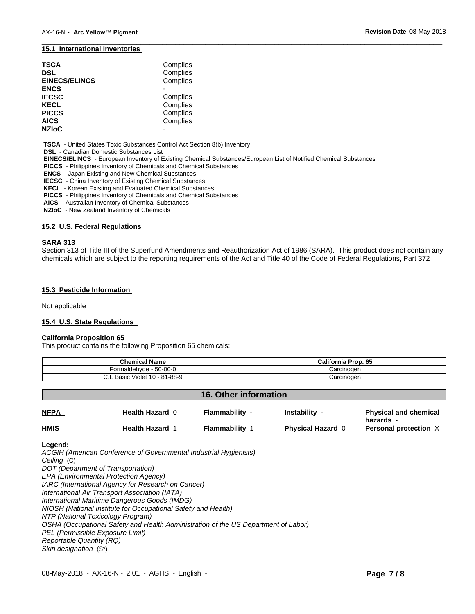#### **15.1 International Inventories**

| TSCA<br>DSL<br><b>EINECS/ELINCS</b> | Complies<br>Complies<br>Complies |  |
|-------------------------------------|----------------------------------|--|
| ENCS                                |                                  |  |
| <b>IECSC</b>                        | Complies                         |  |
| KECL                                | Complies                         |  |
| PICCS                               | Complies                         |  |
| AICS                                | Complies                         |  |
| <b>NZIoC</b>                        |                                  |  |

 **TSCA** - United States Toxic Substances Control Act Section 8(b) Inventory

 **DSL** - Canadian Domestic Substances List

 **EINECS/ELINCS** - European Inventory of Existing Chemical Substances/European List of Notified Chemical Substances

 **PICCS** - Philippines Inventory of Chemicals and Chemical Substances

 **ENCS** - Japan Existing and New Chemical Substances

 **IECSC** - China Inventory of Existing Chemical Substances

 **KECL** - Korean Existing and Evaluated Chemical Substances

 **PICCS** - Philippines Inventory of Chemicals and Chemical Substances

 **AICS** - Australian Inventory of Chemical Substances

 **NZIoC** - New Zealand Inventory of Chemicals

#### **15.2 U.S. Federal Regulations**

#### **SARA 313**

Section 313 of Title III of the Superfund Amendments and Reauthorization Act of 1986 (SARA). This product does not contain any chemicals which are subject to the reporting requirements of the Act and Title 40 of the Code of Federal Regulations, Part 372

 $\overline{\phantom{a}}$  ,  $\overline{\phantom{a}}$  ,  $\overline{\phantom{a}}$  ,  $\overline{\phantom{a}}$  ,  $\overline{\phantom{a}}$  ,  $\overline{\phantom{a}}$  ,  $\overline{\phantom{a}}$  ,  $\overline{\phantom{a}}$  ,  $\overline{\phantom{a}}$  ,  $\overline{\phantom{a}}$  ,  $\overline{\phantom{a}}$  ,  $\overline{\phantom{a}}$  ,  $\overline{\phantom{a}}$  ,  $\overline{\phantom{a}}$  ,  $\overline{\phantom{a}}$  ,  $\overline{\phantom{a}}$ 

#### **15.3 Pesticide Information**

Not applicable

#### **15.4 U.S. State Regulations**

#### **California Proposition 65**

This product contains the following Proposition 65 chemicals:

| <b>Chemical Name</b>                 | <b>California Prop. 65</b> |
|--------------------------------------|----------------------------|
| $50-00-0$<br>naldehvde<br>orm        | Carcinoɑen                 |
| Violet 10 - 81-88-9<br>Basic<br>◡.୲. | Carcinoɑen                 |

#### **16. Other information**

| <b>NFPA</b> | <b>Health Hazard 0</b> | Flammability - | <b>Instability</b>       | <b>Physical and chemical</b><br>hazards - |
|-------------|------------------------|----------------|--------------------------|-------------------------------------------|
| <b>HMIS</b> | <b>Health Hazard 1</b> | Flammability   | <b>Physical Hazard 0</b> | Personal protection X                     |

 $\_$  ,  $\_$  ,  $\_$  ,  $\_$  ,  $\_$  ,  $\_$  ,  $\_$  ,  $\_$  ,  $\_$  ,  $\_$  ,  $\_$  ,  $\_$  ,  $\_$  ,  $\_$  ,  $\_$  ,  $\_$  ,  $\_$  ,  $\_$  ,  $\_$  ,  $\_$  ,  $\_$  ,  $\_$  ,  $\_$  ,  $\_$  ,  $\_$  ,  $\_$  ,  $\_$  ,  $\_$  ,  $\_$  ,  $\_$  ,  $\_$  ,  $\_$  ,  $\_$  ,  $\_$  ,  $\_$  ,  $\_$  ,  $\_$  ,

#### **Legend:**

*ACGIH (American Conference of Governmental Industrial Hygienists) Ceiling* (C) *DOT (Department of Transportation) EPA (Environmental Protection Agency) IARC (International Agency for Research on Cancer) International Air Transport Association (IATA) International Maritime Dangerous Goods (IMDG) NIOSH (National Institute for Occupational Safety and Health) NTP (National Toxicology Program) OSHA (Occupational Safety and Health Administration of the US Department of Labor) PEL (Permissible Exposure Limit) Reportable Quantity (RQ) Skin designation* (S\*)